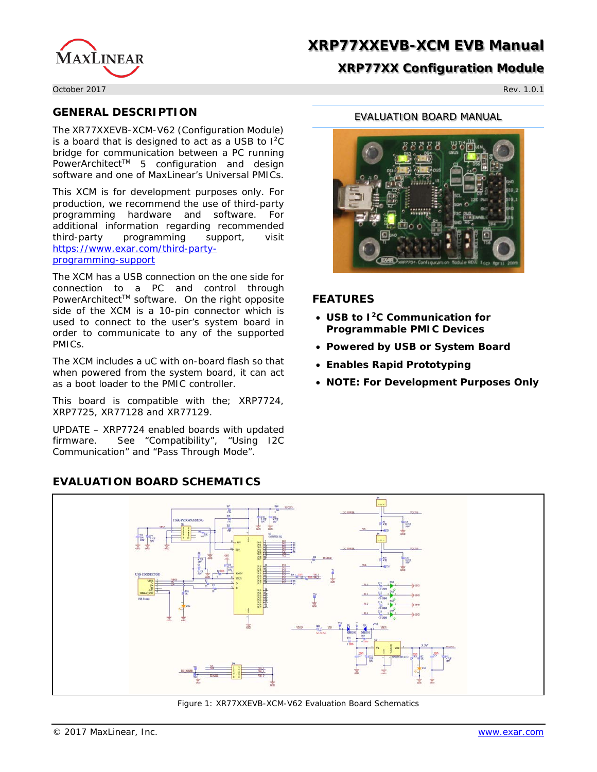

# **XRP77XX Configuration Module**

October 2017 Rev. 1.0.1

# **GENERAL DESCRIPTION**

The XR77XXEVB-XCM-V62 (Configuration Module) is a board that is designed to act as a USB to  $1^2C$ bridge for communication between a PC running PowerArchitect<sup>™</sup> 5 configuration and design software and one of MaxLinear's Universal PMICs.

This XCM is for development purposes only. For production, we recommend the use of third-party programming hardware and software. For additional information regarding recommended third-party programming support, visit [https://www.exar.com/third-party](https://www.exar.com/third-party-programming-support)[programming-support](https://www.exar.com/third-party-programming-support)

The XCM has a USB connection on the one side for connection to a PC and control through PowerArchitect™ software. On the right opposite side of the XCM is a 10-pin connector which is used to connect to the user's system board in order to communicate to any of the supported PMICs.

The XCM includes a uC with on-board flash so that when powered from the system board, it can act as a boot loader to the PMIC controller.

This board is compatible with the; XRP7724, XRP7725, XR77128 and XR77129.

UPDATE – XRP7724 enabled boards with updated firmware. See "Compatibility", "Using I2C Communication" and "Pass Through Mode".

# **EVALUATION BOARD SCHEMATICS**

### EVALUATION BOARD MANUAL



## **FEATURES**

- **USB to I2C Communication for Programmable PMIC Devices**
- **Powered by USB or System Board**
- **Enables Rapid Prototyping**
- **NOTE: For Development Purposes Only**



Figure 1: XR77XXEVB-XCM-V62 Evaluation Board Schematics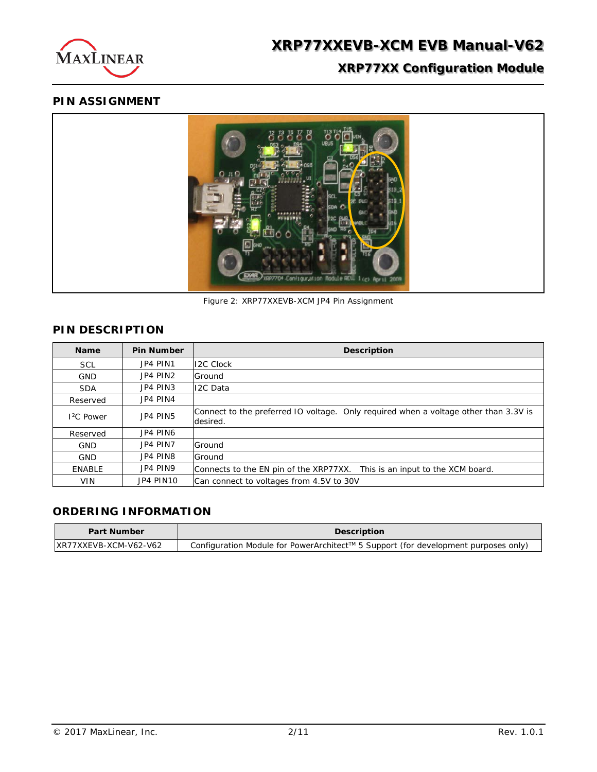

# **PIN ASSIGNMENT**



Figure 2: XRP77XXEVB-XCM JP4 Pin Assignment

# **PIN DESCRIPTION**

| <b>Name</b>   | <b>Pin Number</b> | <b>Description</b>                                                                               |
|---------------|-------------------|--------------------------------------------------------------------------------------------------|
| <b>SCL</b>    | JP4 PIN1          | <b>I2C Clock</b>                                                                                 |
| <b>GND</b>    | JP4 PIN2          | Ground                                                                                           |
| <b>SDA</b>    | JP4 PIN3          | <b>I2C Data</b>                                                                                  |
| Reserved      | JP4 PIN4          |                                                                                                  |
| $12C$ Power   | JP4 PIN5          | Connect to the preferred IO voltage. Only required when a voltage other than 3.3V is<br>desired. |
| Reserved      | JP4 PIN6          |                                                                                                  |
| <b>GND</b>    | JP4 PIN7          | Ground                                                                                           |
| <b>GND</b>    | JP4 PIN8          | Ground                                                                                           |
| <b>ENABLE</b> | JP4 PIN9          | Connects to the EN pin of the XRP77XX.<br>This is an input to the XCM board.                     |
| <b>VIN</b>    | JP4 PIN10         | Can connect to voltages from 4.5V to 30V                                                         |

# **ORDERING INFORMATION**

| <b>Part Number</b>    | <b>Description</b>                                                                 |
|-----------------------|------------------------------------------------------------------------------------|
| XR77XXEVB-XCM-V62-V62 | Configuration Module for PowerArchitect™ 5 Support (for development purposes only) |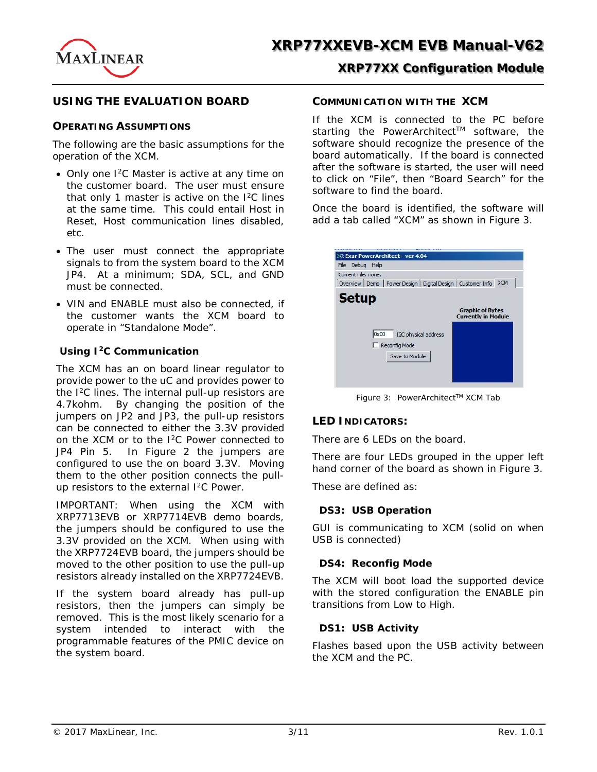

## **USING THE EVALUATION BOARD**

### **OPERATING ASSUMPTIONS**

The following are the basic assumptions for the operation of the XCM.

- Only one I<sup>2</sup>C Master is active at any time on the customer board. The user must ensure that only 1 master is active on the I2C lines at the same time. This could entail Host in Reset, Host communication lines disabled, etc.
- The user must connect the appropriate signals to from the system board to the XCM JP4. At a minimum; SDA, SCL, and GND must be connected.
- VIN and ENABLE must also be connected, if the customer wants the XCM board to operate in "Standalone Mode".

### **Using I2C Communication**

The XCM has an on board linear regulator to provide power to the uC and provides power to the I<sup>2</sup>C lines. The internal pull-up resistors are 4.7kohm. By changing the position of the jumpers on JP2 and JP3, the pull-up resistors can be connected to either the 3.3V provided on the XCM or to the I2C Power connected to JP4 Pin 5. In Figure 2 the jumpers are configured to use the on board 3.3V. Moving them to the other position connects the pullup resistors to the external I<sup>2</sup>C Power.

IMPORTANT: When using the XCM with XRP7713EVB or XRP7714EVB demo boards, the jumpers should be configured to use the 3.3V provided on the XCM. When using with the XRP7724EVB board, the jumpers should be moved to the other position to use the pull-up resistors already installed on the XRP7724EVB.

If the system board already has pull-up resistors, then the jumpers can simply be removed. This is the most likely scenario for a system intended to interact with the programmable features of the PMIC device on the system board.

### **COMMUNICATION WITH THE XCM**

If the XCM is connected to the PC before starting the PowerArchitect™ software, the software should recognize the presence of the board automatically. If the board is connected after the software is started, the user will need to click on "File", then "Board Search" for the software to find the board.

Once the board is identified, the software will add a tab called "XCM" as shown in Figure 3.

| <b>&amp; Exar PowerArchitect - ver 4.04</b><br>File Debug Help<br>Current File: none. |                                                       |
|---------------------------------------------------------------------------------------|-------------------------------------------------------|
| Overview   Demo   Power Design   Digital Design   Customer Info                       | <b>XCM</b>                                            |
| <b>Setup</b>                                                                          | <b>Graphic of Bytes</b><br><b>Currently in Module</b> |
| 0x00<br>I2C physical address<br>Reconfig Mode                                         |                                                       |
| Save to Module                                                                        |                                                       |

Figure 3: PowerArchitect™ XCM Tab

### **LED INDICATORS:**

There are 6 LEDs on the board.

There are four LEDs grouped in the upper left hand corner of the board as shown in Figure 3.

These are defined as:

### **DS3: USB Operation**

GUI is communicating to XCM (solid on when USB is connected)

### **DS4: Reconfig Mode**

The XCM will boot load the supported device with the stored configuration the ENABLE pin transitions from Low to High.

### **DS1: USB Activity**

Flashes based upon the USB activity between the XCM and the PC.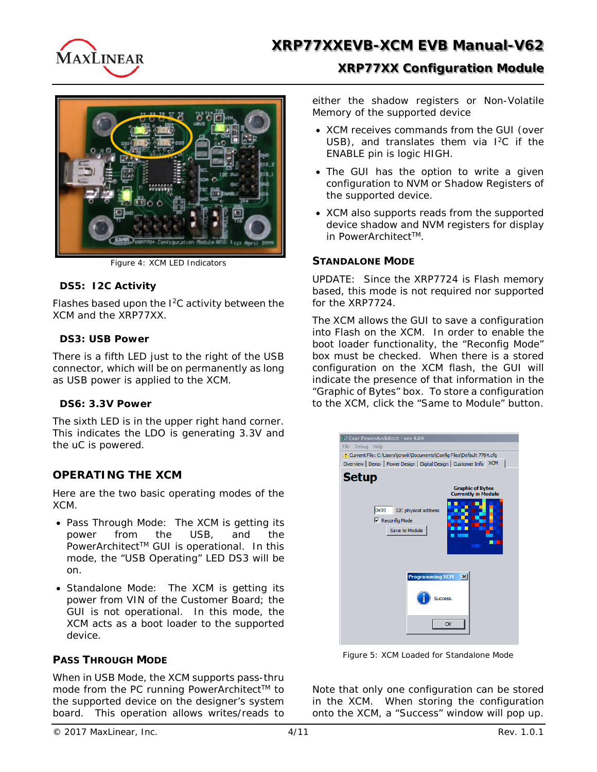

# **XRP77XX Configuration Module**



Figure 4: XCM LED Indicators

### **DS5: I2C Activity**

Flashes based upon the I2C activity between the XCM and the XRP77XX.

## **DS3: USB Power**

There is a fifth LED just to the right of the USB connector, which will be on permanently as long as USB power is applied to the XCM.

### **DS6: 3.3V Power**

The sixth LED is in the upper right hand corner. This indicates the LDO is generating 3.3V and the uC is powered.

# **OPERATING THE XCM**

Here are the two basic operating modes of the XCM.

- Pass Through Mode: The XCM is getting its power from the USB, and the PowerArchitect™ GUI is operational. In this mode, the "USB Operating" LED DS3 will be on.
- Standalone Mode: The XCM is getting its power from VIN of the Customer Board; the GUI is not operational. In this mode, the XCM acts as a boot loader to the supported device.

# **PASS THROUGH MODE**

When in USB Mode, the XCM supports pass-thru mode from the PC running PowerArchitect™ to the supported device on the designer's system board. This operation allows writes/reads to

either the shadow registers or Non-Volatile Memory of the supported device

- XCM receives commands from the GUI (over USB), and translates them via  $I^2C$  if the ENABLE pin is logic HIGH.
- The GUI has the option to write a given configuration to NVM or Shadow Registers of the supported device.
- XCM also supports reads from the supported device shadow and NVM registers for display in PowerArchitect<sup>™</sup>.

## **STANDALONE MODE**

UPDATE: Since the XRP7724 is Flash memory based, this mode is not required nor supported for the XRP7724.

The XCM allows the GUI to save a configuration into Flash on the XCM. In order to enable the boot loader functionality, the "Reconfig Mode" box must be checked. When there is a stored configuration on the XCM flash, the GUI will indicate the presence of that information in the "Graphic of Bytes" box. To store a configuration to the XCM, click the "Same to Module" button.



Figure 5: XCM Loaded for Standalone Mode

Note that only one configuration can be stored in the XCM. When storing the configuration onto the XCM, a "Success" window will pop up.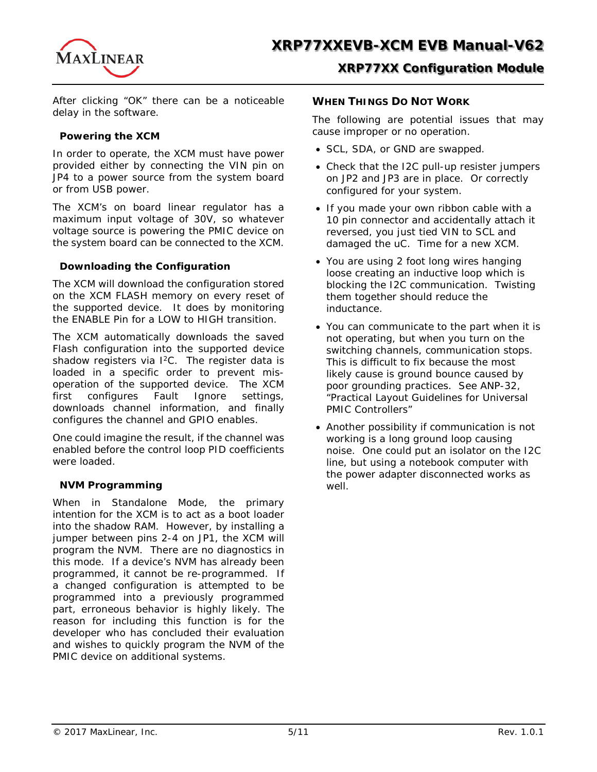

After clicking "OK" there can be a noticeable delay in the software.

### **Powering the XCM**

In order to operate, the XCM must have power provided either by connecting the VIN pin on JP4 to a power source from the system board or from USB power.

The XCM's on board linear regulator has a maximum input voltage of 30V, so whatever voltage source is powering the PMIC device on the system board can be connected to the XCM.

### **Downloading the Configuration**

The XCM will download the configuration stored on the XCM FLASH memory on every reset of the supported device. It does by monitoring the ENABLE Pin for a LOW to HIGH transition.

The XCM automatically downloads the saved Flash configuration into the supported device shadow registers via I<sup>2</sup>C. The register data is loaded in a specific order to prevent misoperation of the supported device. The XCM first configures Fault Ignore settings, downloads channel information, and finally configures the channel and GPIO enables.

One could imagine the result, if the channel was enabled before the control loop PID coefficients were loaded.

### **NVM Programming**

When in Standalone Mode, the primary intention for the XCM is to act as a boot loader into the shadow RAM. However, by installing a jumper between pins 2-4 on JP1, the XCM will program the NVM. There are no diagnostics in this mode. If a device's NVM has already been programmed, it cannot be re-programmed. If a changed configuration is attempted to be programmed into a previously programmed part, erroneous behavior is highly likely. The reason for including this function is for the developer who has concluded their evaluation and wishes to quickly program the NVM of the PMIC device on additional systems.

## **WHEN THINGS DO NOT WORK**

The following are potential issues that may cause improper or no operation.

- SCL, SDA, or GND are swapped.
- Check that the I2C pull-up resister jumpers on JP2 and JP3 are in place. Or correctly configured for your system.
- If you made your own ribbon cable with a 10 pin connector and accidentally attach it reversed, you just tied VIN to SCL and damaged the uC. Time for a new XCM.
- You are using 2 foot long wires hanging loose creating an inductive loop which is blocking the I2C communication. Twisting them together should reduce the inductance.
- You can communicate to the part when it is not operating, but when you turn on the switching channels, communication stops. This is difficult to fix because the most likely cause is ground bounce caused by poor grounding practices. See ANP-32, "Practical Layout Guidelines for Universal PMIC Controllers"
- Another possibility if communication is not working is a long ground loop causing noise. One could put an isolator on the I2C line, but using a notebook computer with the power adapter disconnected works as well.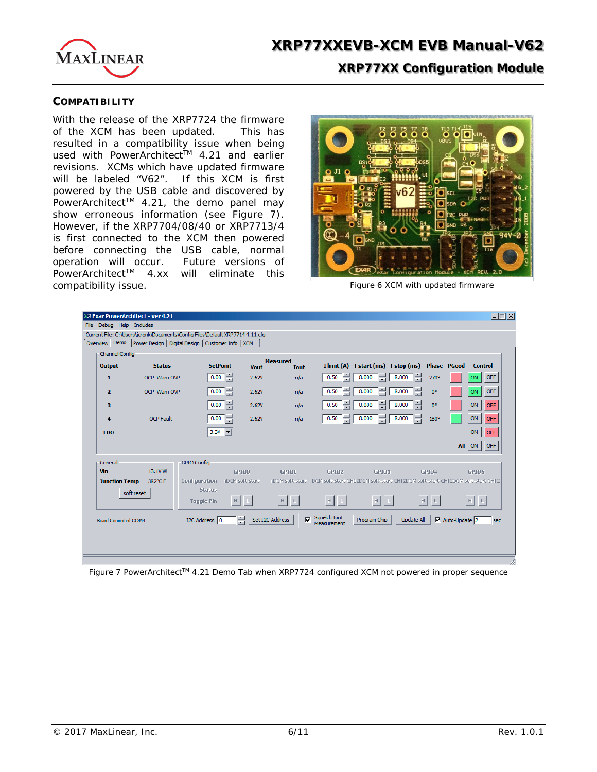

### **COMPATIBILITY**

With the release of the XRP7724 the firmware of the XCM has been updated. This has resulted in a compatibility issue when being used with PowerArchitect™ 4.21 and earlier revisions. XCMs which have updated firmware will be labeled "V62". If this XCM is first powered by the USB cable and discovered by PowerArchitect<sup>TM</sup> 4.21, the demo panel may show erroneous information (see Figure 7). However, if the XRP7704/08/40 or XRP7713/4 is first connected to the XCM then powered before connecting the USB cable, normal operation will occur. Future versions of PowerArchitect™ 4.xx will eliminate this compatibility issue.



Figure 6 XCM with updated firmware

|                             | R Exar PowerArchitect - ver 4.21 |                                                                               |             |                                            |                             |                                                  |             | $\Box$ $\Box$ $\times$                                                                       |
|-----------------------------|----------------------------------|-------------------------------------------------------------------------------|-------------|--------------------------------------------|-----------------------------|--------------------------------------------------|-------------|----------------------------------------------------------------------------------------------|
| File Debug Help Includes    |                                  |                                                                               |             |                                            |                             |                                                  |             |                                                                                              |
|                             |                                  | Current File: C:\Users\jcronk\Documents\Confiq Files\Default XRP7714 4.11.cfq |             |                                            |                             |                                                  |             |                                                                                              |
|                             |                                  | Overview Demo Power Design   Digital Design   Customer Info   XCM             |             |                                            |                             |                                                  |             |                                                                                              |
| Channel Config              |                                  |                                                                               |             | <b>Measured</b>                            |                             |                                                  |             |                                                                                              |
| Output                      | <b>Status</b>                    | <b>SetPoint</b>                                                               | <b>Vout</b> | <b>Tout</b>                                |                             | I limit (A) T start (ms) T stop (ms) Phase PGood |             | <b>Control</b>                                                                               |
| $\mathbf{1}$                | OCP Warn OVP                     | $0.00$ $\rightarrow$                                                          | 2.62V       | n/a                                        | 0.50                        | 8.000<br>8.000                                   | 270°        | <b>OFF</b><br>ON                                                                             |
| $\overline{\mathbf{2}}$     | OCP Warn OVP                     | ÷<br>0.00                                                                     | 2.62V       | n/a                                        | 0.50                        | ÷<br>8.000<br>8.000                              | $0^{\circ}$ | OFF<br>ON                                                                                    |
| з                           |                                  | ÷<br>0.00                                                                     | 2.62V       | n/a                                        | 0.50                        | 8.000<br>8.000                                   | $0^{\circ}$ | ON<br>OFF                                                                                    |
| 4                           | <b>OCP Fault</b>                 | ÷<br>0.00                                                                     | 2.62V       | n/a                                        | 0.50<br>÷                   | 를<br>8.000<br>8.000                              | 180°        | ON<br><b>OFF</b>                                                                             |
| LD <sub>O</sub>             |                                  | $3.3V -$                                                                      |             |                                            |                             |                                                  |             | ON<br>OFF                                                                                    |
|                             |                                  |                                                                               |             |                                            |                             |                                                  |             | OFF<br>All ON                                                                                |
| General                     |                                  | <b>GPIO Config</b>                                                            |             |                                            |                             |                                                  |             |                                                                                              |
| <b>Vin</b>                  | 13.1V W                          | GPIOO                                                                         |             | GPT01                                      | GPT02                       | GPI03                                            | GPT04       | GPIO5                                                                                        |
| <b>Junction Temp</b>        | 382°C F                          | Configuration nDCM soft-start                                                 |             |                                            |                             |                                                  |             | nDCM soft-start DCM soft-start CH12DCM soft-start CH12DCM soft-start CH12DCM soft-start CH12 |
|                             | soft reset                       | <b>Status</b>                                                                 |             |                                            |                             |                                                  |             |                                                                                              |
|                             |                                  | <b>Toggle Pin</b>                                                             |             |                                            |                             |                                                  |             |                                                                                              |
| <b>Board Connected COM4</b> |                                  | I2C Address 0                                                                 |             | Set I2C Address<br>$\overline{\mathbf{v}}$ | Squelch Iout<br>Measurement | Program Chip                                     | Update All  | $\overline{\vee}$ Auto-Update 2<br>sec                                                       |
|                             |                                  |                                                                               |             |                                            |                             |                                                  |             |                                                                                              |
|                             |                                  |                                                                               |             |                                            |                             |                                                  |             |                                                                                              |
|                             |                                  |                                                                               |             |                                            |                             |                                                  |             |                                                                                              |

Figure 7 PowerArchitect™ 4.21 Demo Tab when XRP7724 configured XCM not powered in proper sequence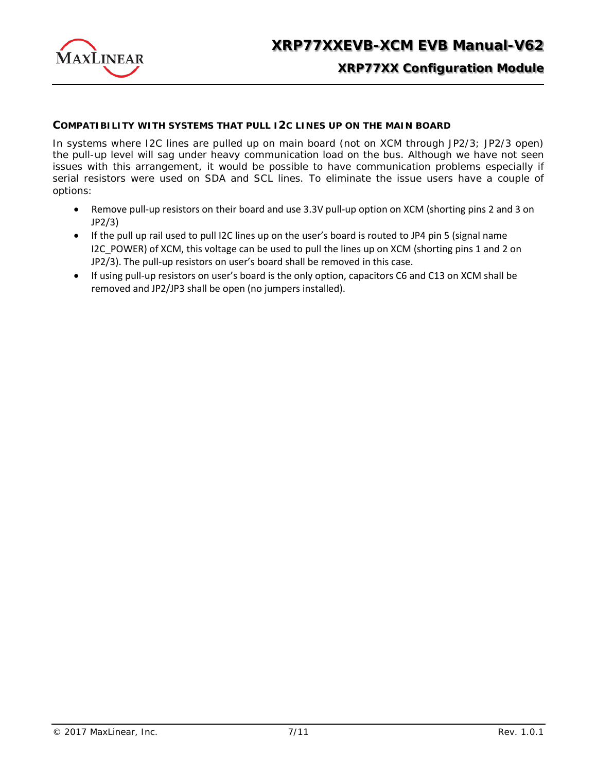

# **XRP77XX Configuration Module**

### **COMPATIBILITY WITH SYSTEMS THAT PULL I2C LINES UP ON THE MAIN BOARD**

In systems where I2C lines are pulled up on main board (not on XCM through JP2/3; JP2/3 open) the pull-up level will sag under heavy communication load on the bus. Although we have not seen issues with this arrangement, it would be possible to have communication problems especially if serial resistors were used on SDA and SCL lines. To eliminate the issue users have a couple of options:

- Remove pull-up resistors on their board and use 3.3V pull-up option on XCM (shorting pins 2 and 3 on JP2/3)
- If the pull up rail used to pull I2C lines up on the user's board is routed to JP4 pin 5 (signal name I2C POWER) of XCM, this voltage can be used to pull the lines up on XCM (shorting pins 1 and 2 on JP2/3). The pull-up resistors on user's board shall be removed in this case.
- If using pull-up resistors on user's board is the only option, capacitors C6 and C13 on XCM shall be removed and JP2/JP3 shall be open (no jumpers installed).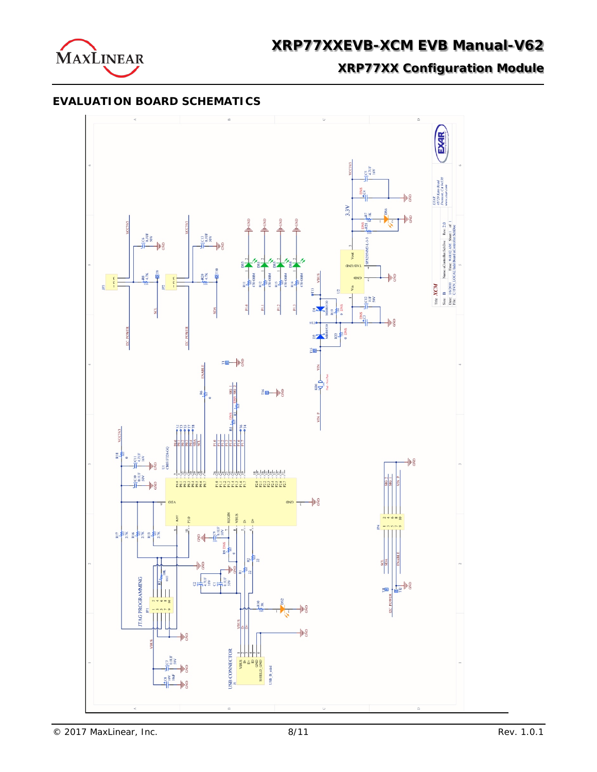

**XRP77XX Configuration Module**

## **EVALUATION BOARD SCHEMATICS**

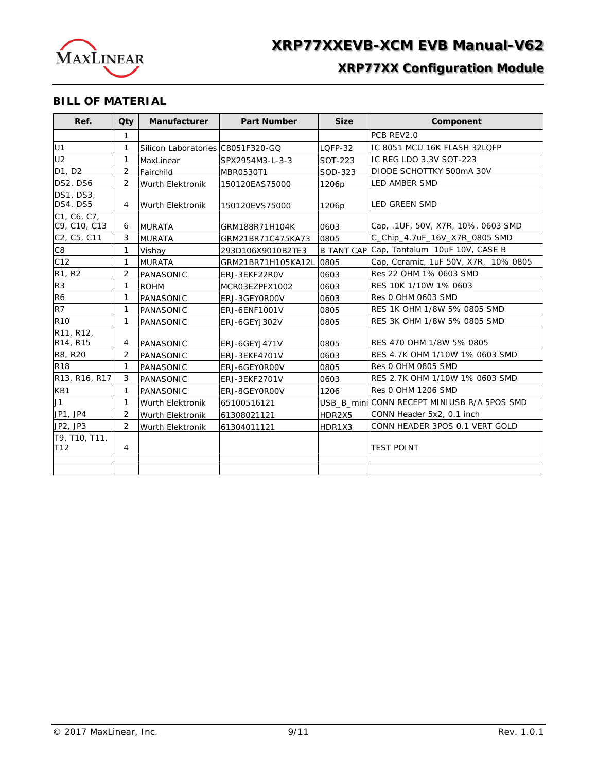

# **XRP77XX Configuration Module**

## **BILL OF MATERIAL**

| Ref.                             | Qty            | <b>Manufacturer</b><br><b>Part Number</b> |                    | <b>Size</b>       | Component                                   |  |
|----------------------------------|----------------|-------------------------------------------|--------------------|-------------------|---------------------------------------------|--|
|                                  | $\mathbf{1}$   |                                           |                    |                   | PCB REV2.0                                  |  |
| U1                               | 1              | Silicon Laboratories C8051F320-GQ         |                    | LOFP-32           | IC 8051 MCU 16K FLASH 32LQFP                |  |
| U <sub>2</sub>                   | $\mathbf{1}$   | MaxLinear                                 | SPX2954M3-L-3-3    | SOT-223           | IC REG LDO 3.3V SOT-223                     |  |
| D1, D2                           | 2              | Fairchild                                 | <b>MBR0530T1</b>   | SOD-323           | DIODE SCHOTTKY 500mA 30V                    |  |
| DS2, DS6                         | 2              | <b>Wurth Elektronik</b>                   | 150120EAS75000     | 1206p             | <b>LED AMBER SMD</b>                        |  |
| DS1, DS3,<br>DS4, DS5            | 4              | <b>Wurth Elektronik</b>                   | 150120EVS75000     | 1206 <sub>p</sub> | <b>LED GREEN SMD</b>                        |  |
| C1, C6, C7,<br>C9, C10, C13      | 6              | <b>MURATA</b>                             | GRM188R71H104K     | 0603              | Cap. .1UF, 50V, X7R, 10%, 0603 SMD          |  |
| C2, C5, C11                      | 3              | <b>MURATA</b>                             | GRM21BR71C475KA73  | 0805              | C_Chip_4.7uF_16V_X7R_0805 SMD               |  |
| C <sub>8</sub>                   | 1              | Vishay                                    | 293D106X9010B2TE3  |                   | B TANT CAP Cap, Tantalum 10uF 10V, CASE B   |  |
| C12                              | $\mathbf{1}$   | <b>MURATA</b>                             | GRM21BR71H105KA12L | 0805              | Cap, Ceramic, 1uF 50V, X7R, 10% 0805        |  |
| R <sub>1</sub> , R <sub>2</sub>  | 2              | PANASONIC                                 | ERJ-3EKF22ROV      | 0603              | Res 22 OHM 1% 0603 SMD                      |  |
| R <sub>3</sub>                   | 1              | <b>ROHM</b>                               | MCR03EZPFX1002     | 0603              | RES 10K 1/10W 1% 0603                       |  |
| R <sub>6</sub>                   | 1              | PANASONIC                                 | ERJ-3GEY0R00V      | 0603              | <b>Res 0 OHM 0603 SMD</b>                   |  |
| R7                               | 1              | PANASONIC                                 | ERJ-6ENF1001V      | 0805              | RES 1K OHM 1/8W 5% 0805 SMD                 |  |
| <b>R10</b>                       | 1              | PANASONIC                                 | ERJ-6GEYJ302V      | 0805              | RES 3K OHM 1/8W 5% 0805 SMD                 |  |
| R11, R12,<br>R14, R15            | 4              | PANASONIC                                 | ERJ-6GEYJ471V      | 0805              | RES 470 OHM 1/8W 5% 0805                    |  |
| R8, R20                          | 2              | PANASONIC                                 | ERJ-3EKF4701V      | 0603              | RES 4.7K OHM 1/10W 1% 0603 SMD              |  |
| <b>R18</b>                       | 1              | PANASONIC                                 | ERJ-6GEY0R00V      | 0805              | <b>Res 0 OHM 0805 SMD</b>                   |  |
| R13, R16, R17                    | 3              | PANASONIC                                 | ERJ-3EKF2701V      | 0603              | RES 2.7K OHM 1/10W 1% 0603 SMD              |  |
| KB1                              | 1              | PANASONIC                                 | ERJ-8GEY0R00V      | 1206              | <b>Res 0 OHM 1206 SMD</b>                   |  |
| J1                               | 1              | Wurth Elektronik                          | 65100516121        |                   | USB_B_mini CONN RECEPT MINIUSB R/A 5POS SMD |  |
| JP1, JP4                         | 2              | Wurth Elektronik                          | 61308021121        | HDR2X5            | CONN Header 5x2, 0.1 inch                   |  |
| JP2, JP3                         | 2              | Wurth Elektronik                          | 61304011121        | HDR1X3            | CONN HEADER 3POS 0.1 VERT GOLD              |  |
| T9, T10, T11,<br>T <sub>12</sub> | $\overline{4}$ |                                           |                    |                   | <b>TEST POINT</b>                           |  |
|                                  |                |                                           |                    |                   |                                             |  |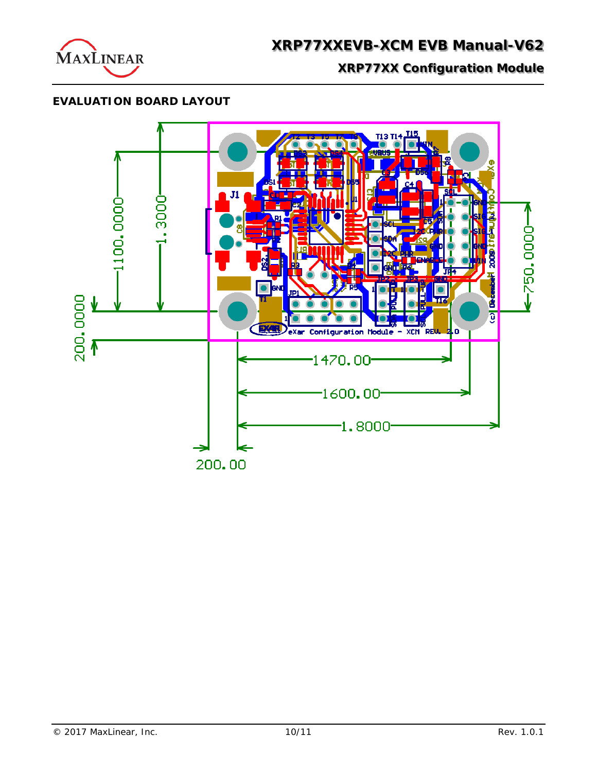

**XRP77XX Configuration Module**

# **EVALUATION BOARD LAYOUT**